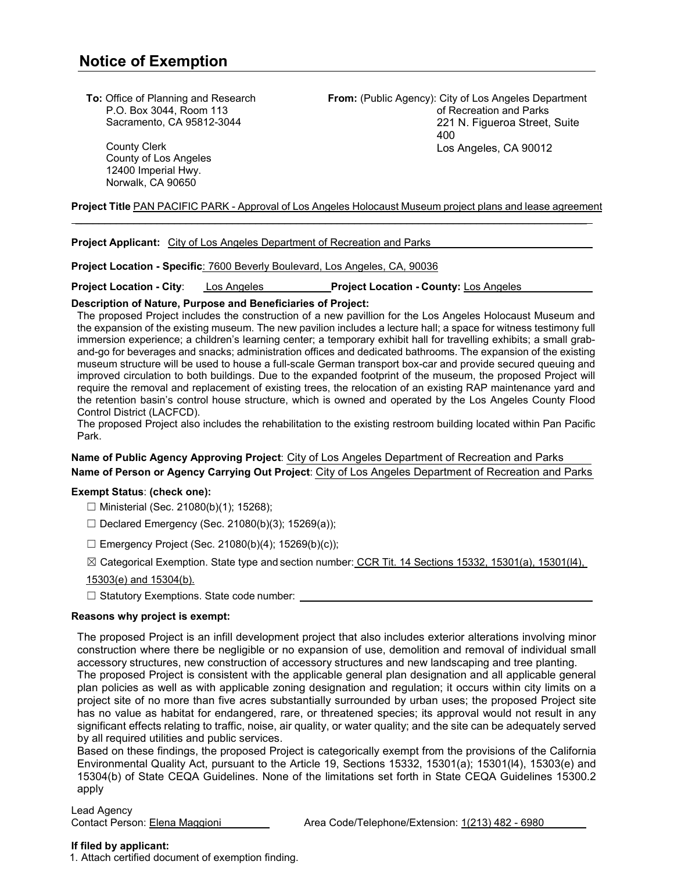**To:** Office of Planning and Research P.O. Box 3044, Room 113 Sacramento, CA 95812-3044

> County Clerk County of Los Angeles 12400 Imperial Hwy. Norwalk, CA 90650

**From:** (Public Agency): City of Los Angeles Department of Recreation and Parks 221 N. Figueroa Street, Suite 400 Los Angeles, CA 90012

**Project Title** PAN PACIFIC PARK - Approval of Los Angeles Holocaust Museum project plans and lease agreement \_\_\_\_\_\_\_\_\_\_\_\_\_\_\_\_\_\_\_\_\_\_\_\_\_\_\_\_\_\_\_\_\_\_\_\_\_\_\_\_\_\_\_\_\_\_\_\_\_\_\_\_\_\_\_\_\_\_\_\_\_\_\_\_\_\_\_\_\_\_\_\_\_\_\_\_\_\_\_\_\_\_\_\_\_\_\_\_

**Project Applicant:** City of Los Angeles Department of Recreation and Parks

**Project Location - Specific**: 7600 Beverly Boulevard, Los Angeles, CA, 90036

**Project Location - City**: Los Angeles **Project Location - County:** Los Angeles

## **Description of Nature, Purpose and Beneficiaries of Project:**

The proposed Project includes the construction of a new pavillion for the Los Angeles Holocaust Museum and the expansion of the existing museum. The new pavilion includes a lecture hall; a space for witness testimony full immersion experience; a children's learning center; a temporary exhibit hall for travelling exhibits; a small graband-go for beverages and snacks; administration offices and dedicated bathrooms. The expansion of the existing museum structure will be used to house a full-scale German transport box-car and provide secured queuing and improved circulation to both buildings. Due to the expanded footprint of the museum, the proposed Project will require the removal and replacement of existing trees, the relocation of an existing RAP maintenance yard and the retention basin's control house structure, which is owned and operated by the Los Angeles County Flood Control District (LACFCD).

The proposed Project also includes the rehabilitation to the existing restroom building located within Pan Pacific Park.

# **Name of Public Agency Approving Project**: City of Los Angeles Department of Recreation and Parks **Name of Person or Agency Carrying Out Project**: City of Los Angeles Department of Recreation and Parks

### **Exempt Status**: **(check one):**

- ☐ Ministerial (Sec. 21080(b)(1); 15268);
- $\Box$  Declared Emergency (Sec. 21080(b)(3); 15269(a));
- $\Box$  Emergency Project (Sec. 21080(b)(4); 15269(b)(c));
- ☒ Categorical Exemption. State type and section number: CCR Tit. 14 Sections 15332, 15301(a), 15301(l4),
- 15303(e) and 15304(b).
- ☐ Statutory Exemptions. State code number:

### **Reasons why project is exempt:**

The proposed Project is an infill development project that also includes exterior alterations involving minor construction where there be negligible or no expansion of use, demolition and removal of individual small accessory structures, new construction of accessory structures and new landscaping and tree planting.

The proposed Project is consistent with the applicable general plan designation and all applicable general plan policies as well as with applicable zoning designation and regulation; it occurs within city limits on a project site of no more than five acres substantially surrounded by urban uses; the proposed Project site has no value as habitat for endangered, rare, or threatened species; its approval would not result in any significant effects relating to traffic, noise, air quality, or water quality; and the site can be adequately served by all required utilities and public services.

Based on these findings, the proposed Project is categorically exempt from the provisions of the California Environmental Quality Act, pursuant to the Article 19, Sections 15332, 15301(a); 15301(l4), 15303(e) and 15304(b) of State CEQA Guidelines. None of the limitations set forth in State CEQA Guidelines 15300.2 apply

Lead Agency

### **If filed by applicant:**

1. Attach certified document of exemption finding.